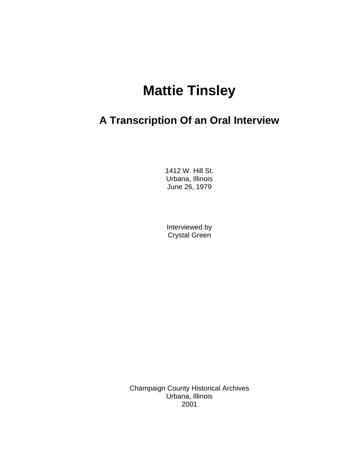## **Mattie Tinsley**

## **A Transcription Of an Oral Interview**

1412 W. Hill St. Urbana, Illinois June 26, 1979

Interviewed by Crystal Green

Champaign County Historical Archives Urbana, Illinois 2001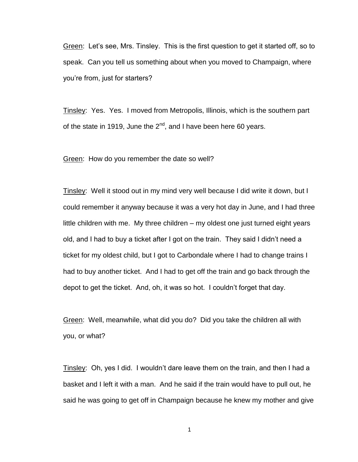Green: Let's see, Mrs. Tinsley. This is the first question to get it started off, so to speak. Can you tell us something about when you moved to Champaign, where you"re from, just for starters?

Tinsley: Yes. Yes. I moved from Metropolis, Illinois, which is the southern part of the state in 1919, June the  $2<sup>nd</sup>$ , and I have been here 60 years.

Green: How do you remember the date so well?

Tinsley: Well it stood out in my mind very well because I did write it down, but I could remember it anyway because it was a very hot day in June, and I had three little children with me. My three children – my oldest one just turned eight years old, and I had to buy a ticket after I got on the train. They said I didn"t need a ticket for my oldest child, but I got to Carbondale where I had to change trains I had to buy another ticket. And I had to get off the train and go back through the depot to get the ticket. And, oh, it was so hot. I couldn"t forget that day.

Green: Well, meanwhile, what did you do? Did you take the children all with you, or what?

Tinsley: Oh, yes I did. I wouldn"t dare leave them on the train, and then I had a basket and I left it with a man. And he said if the train would have to pull out, he said he was going to get off in Champaign because he knew my mother and give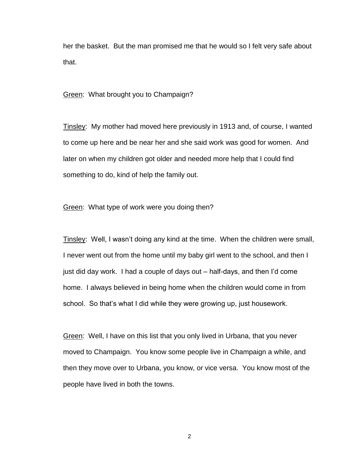her the basket. But the man promised me that he would so I felt very safe about that.

Green: What brought you to Champaign?

Tinsley: My mother had moved here previously in 1913 and, of course, I wanted to come up here and be near her and she said work was good for women. And later on when my children got older and needed more help that I could find something to do, kind of help the family out.

Green: What type of work were you doing then?

Tinsley: Well, I wasn"t doing any kind at the time. When the children were small, I never went out from the home until my baby girl went to the school, and then I just did day work. I had a couple of days out – half-days, and then I"d come home. I always believed in being home when the children would come in from school. So that"s what I did while they were growing up, just housework.

Green: Well, I have on this list that you only lived in Urbana, that you never moved to Champaign. You know some people live in Champaign a while, and then they move over to Urbana, you know, or vice versa. You know most of the people have lived in both the towns.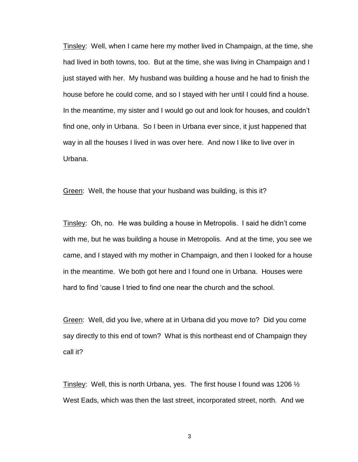Tinsley: Well, when I came here my mother lived in Champaign, at the time, she had lived in both towns, too. But at the time, she was living in Champaign and I just stayed with her. My husband was building a house and he had to finish the house before he could come, and so I stayed with her until I could find a house. In the meantime, my sister and I would go out and look for houses, and couldn"t find one, only in Urbana. So I been in Urbana ever since, it just happened that way in all the houses I lived in was over here. And now I like to live over in Urbana.

Green: Well, the house that your husband was building, is this it?

Tinsley: Oh, no. He was building a house in Metropolis. I said he didn"t come with me, but he was building a house in Metropolis. And at the time, you see we came, and I stayed with my mother in Champaign, and then I Iooked for a house in the meantime. We both got here and I found one in Urbana. Houses were hard to find "cause I tried to find one near the church and the school.

Green: Well, did you live, where at in Urbana did you move to? Did you come say directly to this end of town? What is this northeast end of Champaign they call it?

Tinsley: Well, this is north Urbana, yes. The first house I found was 1206  $\frac{1}{2}$ West Eads, which was then the last street, incorporated street, north. And we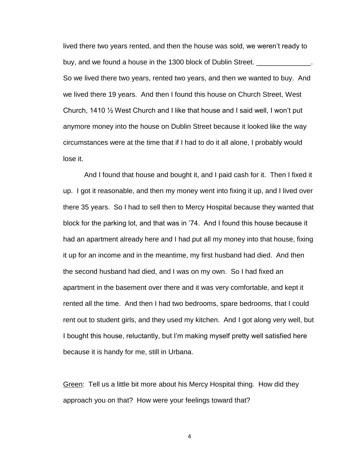lived there two years rented, and then the house was sold, we weren"t ready to buy, and we found a house in the 1300 block of Dublin Street. So we lived there two years, rented two years, and then we wanted to buy. And we lived there 19 years. And then I found this house on Church Street, West Church, 1410  $\frac{1}{2}$  West Church and I like that house and I said well, I won't put anymore money into the house on Dublin Street because it looked like the way circumstances were at the time that if I had to do it all alone, I probably would lose it.

And I found that house and bought it, and I paid cash for it. Then I fixed it up. I got it reasonable, and then my money went into fixing it up, and I lived over there 35 years. So I had to sell then to Mercy Hospital because they wanted that block for the parking lot, and that was in "74. And I found this house because it had an apartment already here and I had put all my money into that house, fixing it up for an income and in the meantime, my first husband had died. And then the second husband had died, and I was on my own. So I had fixed an apartment in the basement over there and it was very comfortable, and kept it rented all the time. And then I had two bedrooms, spare bedrooms, that I could rent out to student girls, and they used my kitchen. And I got along very well, but I bought this house, reluctantly, but I"m making myself pretty well satisfied here because it is handy for me, still in Urbana.

Green: Tell us a little bit more about his Mercy Hospital thing. How did they approach you on that? How were your feelings toward that?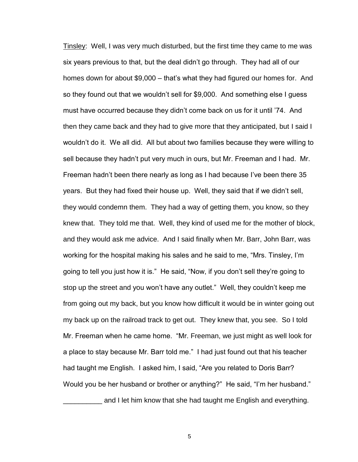Tinsley: Well, I was very much disturbed, but the first time they came to me was six years previous to that, but the deal didn"t go through. They had all of our homes down for about \$9,000 – that's what they had figured our homes for. And so they found out that we wouldn"t sell for \$9,000. And something else I guess must have occurred because they didn"t come back on us for it until "74. And then they came back and they had to give more that they anticipated, but I said I wouldn"t do it. We all did. All but about two families because they were willing to sell because they hadn"t put very much in ours, but Mr. Freeman and I had. Mr. Freeman hadn't been there nearly as long as I had because I've been there 35 years. But they had fixed their house up. Well, they said that if we didn"t sell, they would condemn them. They had a way of getting them, you know, so they knew that. They told me that. Well, they kind of used me for the mother of block, and they would ask me advice. And I said finally when Mr. Barr, John Barr, was working for the hospital making his sales and he said to me, "Mrs. Tinsley, I"m going to tell you just how it is." He said, "Now, if you don"t sell they"re going to stop up the street and you won"t have any outlet." Well, they couldn"t keep me from going out my back, but you know how difficult it would be in winter going out my back up on the railroad track to get out. They knew that, you see. So I told Mr. Freeman when he came home. "Mr. Freeman, we just might as well look for a place to stay because Mr. Barr told me." I had just found out that his teacher had taught me English. I asked him, I said, "Are you related to Doris Barr? Would you be her husband or brother or anything?" He said, "I'm her husband." and I let him know that she had taught me English and everything.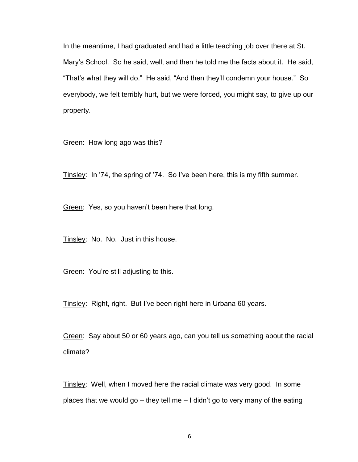In the meantime, I had graduated and had a little teaching job over there at St. Mary"s School. So he said, well, and then he told me the facts about it. He said, "That"s what they will do." He said, "And then they"ll condemn your house." So everybody, we felt terribly hurt, but we were forced, you might say, to give up our property.

Green: How long ago was this?

Tinsley: In "74, the spring of "74. So I"ve been here, this is my fifth summer.

Green: Yes, so you haven"t been here that long.

Tinsley: No. No. Just in this house.

Green: You"re still adjusting to this.

Tinsley: Right, right. But I've been right here in Urbana 60 years.

Green: Say about 50 or 60 years ago, can you tell us something about the racial climate?

Tinsley: Well, when I moved here the racial climate was very good. In some places that we would go – they tell me – I didn"t go to very many of the eating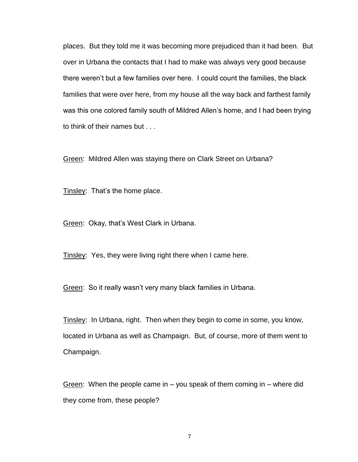places. But they told me it was becoming more prejudiced than it had been. But over in Urbana the contacts that I had to make was always very good because there weren"t but a few families over here. I could count the families, the black families that were over here, from my house all the way back and farthest family was this one colored family south of Mildred Allen"s home, and I had been trying to think of their names but . . .

Green: Mildred Allen was staying there on Clark Street on Urbana?

Tinsley: That's the home place.

Green: Okay, that"s West Clark in Urbana.

Tinsley: Yes, they were living right there when I came here.

Green: So it really wasn"t very many black families in Urbana.

Tinsley: In Urbana, right. Then when they begin to come in some, you know, located in Urbana as well as Champaign. But, of course, more of them went to Champaign.

Green: When the people came in – you speak of them coming in – where did they come from, these people?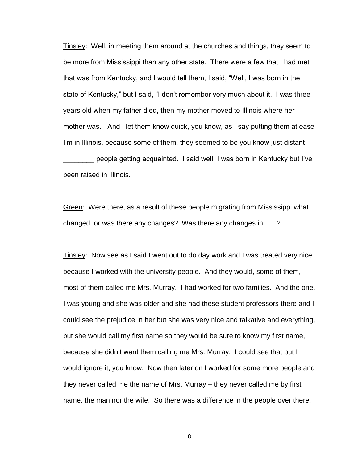Tinsley: Well, in meeting them around at the churches and things, they seem to be more from Mississippi than any other state. There were a few that I had met that was from Kentucky, and I would tell them, I said, "Well, I was born in the state of Kentucky," but I said, "I don"t remember very much about it. I was three years old when my father died, then my mother moved to Illinois where her mother was." And I let them know quick, you know, as I say putting them at ease I'm in Illinois, because some of them, they seemed to be you know just distant \_\_\_\_\_\_\_\_ people getting acquainted. I said well, I was born in Kentucky but I"ve been raised in Illinois.

Green: Were there, as a result of these people migrating from Mississippi what changed, or was there any changes? Was there any changes in . . . ?

Tinsley: Now see as I said I went out to do day work and I was treated very nice because I worked with the university people. And they would, some of them, most of them called me Mrs. Murray. I had worked for two families. And the one, I was young and she was older and she had these student professors there and I could see the prejudice in her but she was very nice and talkative and everything, but she would call my first name so they would be sure to know my first name, because she didn"t want them calling me Mrs. Murray. I could see that but I would ignore it, you know. Now then later on I worked for some more people and they never called me the name of Mrs. Murray – they never called me by first name, the man nor the wife. So there was a difference in the people over there,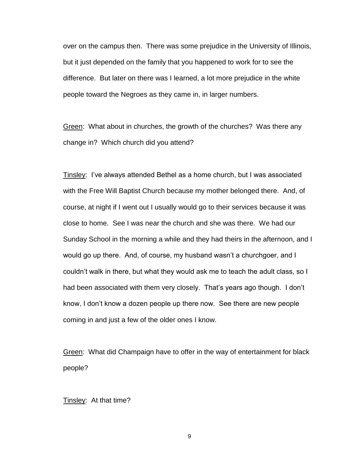over on the campus then. There was some prejudice in the University of Illinois, but it just depended on the family that you happened to work for to see the difference. But later on there was I learned, a lot more prejudice in the white people toward the Negroes as they came in, in larger numbers.

Green: What about in churches, the growth of the churches? Was there any change in? Which church did you attend?

Tinsley: I"ve always attended Bethel as a home church, but I was associated with the Free Will Baptist Church because my mother belonged there. And, of course, at night if I went out I usually would go to their services because it was close to home. See I was near the church and she was there. We had our Sunday School in the morning a while and they had theirs in the afternoon, and I would go up there. And, of course, my husband wasn"t a churchgoer, and I couldn"t walk in there, but what they would ask me to teach the adult class, so I had been associated with them very closely. That's years ago though. I don't know, I don"t know a dozen people up there now. See there are new people coming in and just a few of the older ones I know.

Green: What did Champaign have to offer in the way of entertainment for black people?

Tinsley: At that time?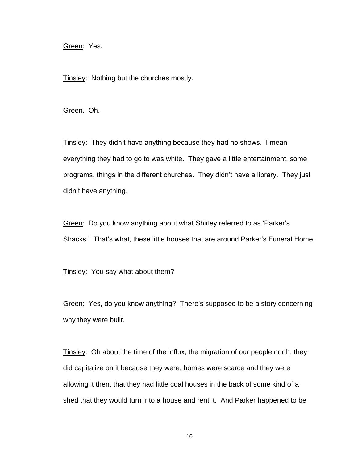Green: Yes.

Tinsley: Nothing but the churches mostly.

Green. Oh.

Tinsley: They didn't have anything because they had no shows. I mean everything they had to go to was white. They gave a little entertainment, some programs, things in the different churches. They didn"t have a library. They just didn"t have anything.

Green: Do you know anything about what Shirley referred to as "Parker"s Shacks." That"s what, these little houses that are around Parker"s Funeral Home.

Tinsley: You say what about them?

Green: Yes, do you know anything? There"s supposed to be a story concerning why they were built.

Tinsley: Oh about the time of the influx, the migration of our people north, they did capitalize on it because they were, homes were scarce and they were allowing it then, that they had little coal houses in the back of some kind of a shed that they would turn into a house and rent it. And Parker happened to be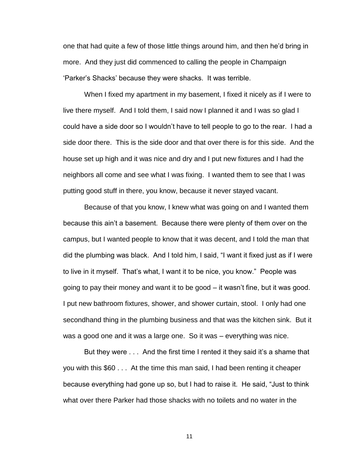one that had quite a few of those little things around him, and then he"d bring in more. And they just did commenced to calling the people in Champaign "Parker"s Shacks" because they were shacks. It was terrible.

When I fixed my apartment in my basement, I fixed it nicely as if I were to live there myself. And I told them, I said now I planned it and I was so glad I could have a side door so I wouldn"t have to tell people to go to the rear. I had a side door there. This is the side door and that over there is for this side. And the house set up high and it was nice and dry and I put new fixtures and I had the neighbors all come and see what I was fixing. I wanted them to see that I was putting good stuff in there, you know, because it never stayed vacant.

Because of that you know, I knew what was going on and I wanted them because this ain"t a basement. Because there were plenty of them over on the campus, but I wanted people to know that it was decent, and I told the man that did the plumbing was black. And I told him, I said, "I want it fixed just as if I were to live in it myself. That"s what, I want it to be nice, you know." People was going to pay their money and want it to be good – it wasn"t fine, but it was good. I put new bathroom fixtures, shower, and shower curtain, stool. I only had one secondhand thing in the plumbing business and that was the kitchen sink. But it was a good one and it was a large one. So it was – everything was nice.

But they were ... And the first time I rented it they said it's a shame that you with this \$60 . . . At the time this man said, I had been renting it cheaper because everything had gone up so, but I had to raise it. He said, "Just to think what over there Parker had those shacks with no toilets and no water in the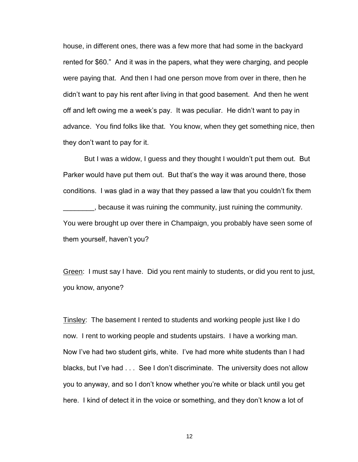house, in different ones, there was a few more that had some in the backyard rented for \$60." And it was in the papers, what they were charging, and people were paying that. And then I had one person move from over in there, then he didn"t want to pay his rent after living in that good basement. And then he went off and left owing me a week"s pay. It was peculiar. He didn"t want to pay in advance. You find folks like that. You know, when they get something nice, then they don"t want to pay for it.

But I was a widow, I guess and they thought I wouldn"t put them out. But Parker would have put them out. But that"s the way it was around there, those conditions. I was glad in a way that they passed a law that you couldn"t fix them \_\_\_\_\_\_\_\_, because it was ruining the community, just ruining the community. You were brought up over there in Champaign, you probably have seen some of them yourself, haven't you?

Green: I must say I have. Did you rent mainly to students, or did you rent to just, you know, anyone?

Tinsley: The basement I rented to students and working people just like I do now. I rent to working people and students upstairs. I have a working man. Now I've had two student girls, white. I've had more white students than I had blacks, but I've had . . . See I don't discriminate. The university does not allow you to anyway, and so I don"t know whether you"re white or black until you get here. I kind of detect it in the voice or something, and they don"t know a lot of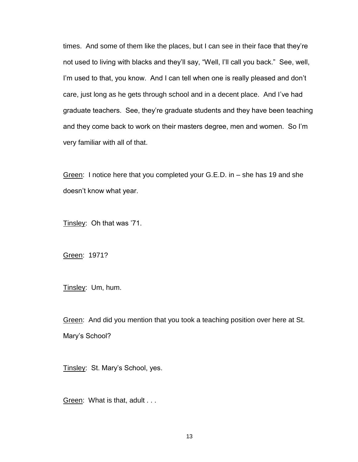times. And some of them like the places, but I can see in their face that they"re not used to living with blacks and they"ll say, "Well, I"ll call you back." See, well, I'm used to that, you know. And I can tell when one is really pleased and don't care, just long as he gets through school and in a decent place. And I"ve had graduate teachers. See, they"re graduate students and they have been teaching and they come back to work on their masters degree, men and women. So I"m very familiar with all of that.

Green: I notice here that you completed your G.E.D. in – she has 19 and she doesn"t know what year.

Tinsley: Oh that was '71.

Green: 1971?

Tinsley: Um, hum.

Green: And did you mention that you took a teaching position over here at St. Mary's School?

Tinsley: St. Mary's School, yes.

Green: What is that, adult . . .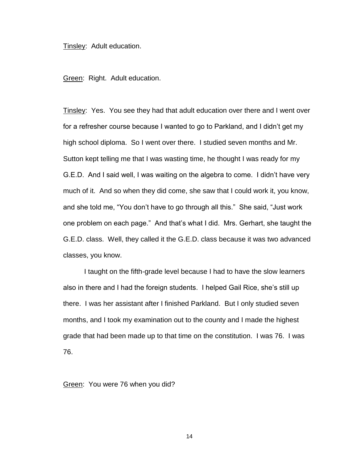Tinsley: Adult education.

Green: Right. Adult education.

Tinsley: Yes. You see they had that adult education over there and I went over for a refresher course because I wanted to go to Parkland, and I didn"t get my high school diploma. So I went over there. I studied seven months and Mr. Sutton kept telling me that I was wasting time, he thought I was ready for my G.E.D. And I said well, I was waiting on the algebra to come. I didn"t have very much of it. And so when they did come, she saw that I could work it, you know, and she told me, "You don"t have to go through all this." She said, "Just work one problem on each page." And that"s what I did. Mrs. Gerhart, she taught the G.E.D. class. Well, they called it the G.E.D. class because it was two advanced classes, you know.

I taught on the fifth-grade level because I had to have the slow learners also in there and I had the foreign students. I helped Gail Rice, she"s still up there. I was her assistant after I finished Parkland. But I only studied seven months, and I took my examination out to the county and I made the highest grade that had been made up to that time on the constitution. I was 76. I was 76.

Green: You were 76 when you did?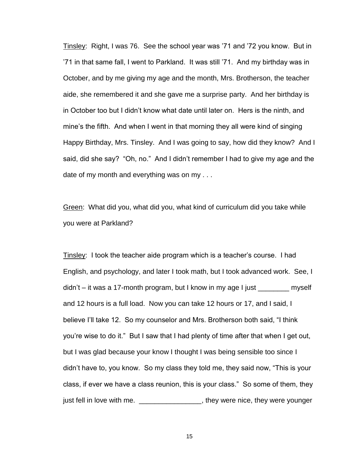Tinsley: Right, I was 76. See the school year was "71 and "72 you know. But in "71 in that same fall, I went to Parkland. It was still "71. And my birthday was in October, and by me giving my age and the month, Mrs. Brotherson, the teacher aide, she remembered it and she gave me a surprise party. And her birthday is in October too but I didn"t know what date until later on. Hers is the ninth, and mine"s the fifth. And when I went in that morning they all were kind of singing Happy Birthday, Mrs. Tinsley. And I was going to say, how did they know? And I said, did she say? "Oh, no." And I didn"t remember I had to give my age and the date of my month and everything was on my . . .

Green: What did you, what did you, what kind of curriculum did you take while you were at Parkland?

Tinsley: I took the teacher aide program which is a teacher"s course. I had English, and psychology, and later I took math, but I took advanced work. See, I  $d$ idn't – it was a 17-month program, but I know in my age I just  $\qquad \qquad$  myself and 12 hours is a full load. Now you can take 12 hours or 17, and I said, I believe I"ll take 12. So my counselor and Mrs. Brotherson both said, "I think you"re wise to do it." But I saw that I had plenty of time after that when I get out, but I was glad because your know I thought I was being sensible too since I didn"t have to, you know. So my class they told me, they said now, "This is your class, if ever we have a class reunion, this is your class." So some of them, they just fell in love with me. \_\_\_\_\_\_\_\_\_\_\_\_\_\_\_\_, they were nice, they were younger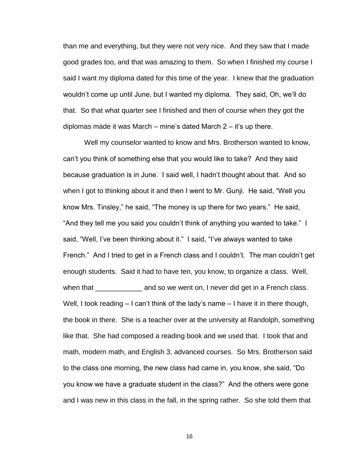than me and everything, but they were not very nice. And they saw that I made good grades too, and that was amazing to them. So when I finished my course I said I want my diploma dated for this time of the year. I knew that the graduation wouldn"t come up until June, but I wanted my diploma. They said, Oh, we"ll do that. So that what quarter see I finished and then of course when they got the diplomas made it was March – mine's dated March  $2 - it$ 's up there.

Well my counselor wanted to know and Mrs. Brotherson wanted to know, can"t you think of something else that you would like to take? And they said because graduation is in June. I said well, I hadn"t thought about that. And so when I got to thinking about it and then I went to Mr. Gunji. He said, "Well you know Mrs. Tinsley," he said, "The money is up there for two years." He said, "And they tell me you said you couldn"t think of anything you wanted to take." I said, "Well, I've been thinking about it." I said, "I've always wanted to take French." And I tried to get in a French class and I couldn"t. The man couldn"t get enough students. Said it had to have ten, you know, to organize a class. Well, when that That and so we went on, I never did get in a French class. Well, I took reading – I can't think of the lady's name – I have it in there though, the book in there. She is a teacher over at the university at Randolph, something like that. She had composed a reading book and we used that. I took that and math, modern math, and English 3, advanced courses. So Mrs. Brotherson said to the class one morning, the new class had came in, you know, she said, "Do you know we have a graduate student in the class?" And the others were gone and I was new in this class in the fall, in the spring rather. So she told them that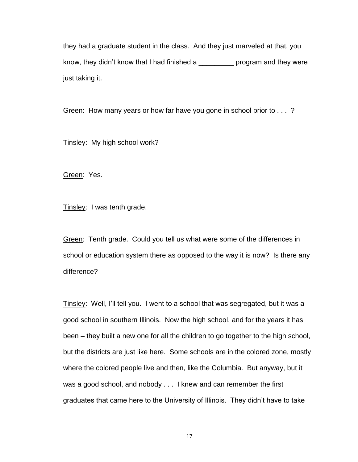they had a graduate student in the class. And they just marveled at that, you know, they didn't know that I had finished a \_\_\_\_\_\_\_\_\_\_ program and they were just taking it.

Green: How many years or how far have you gone in school prior to . . . ?

Tinsley: My high school work?

Green: Yes.

Tinsley: I was tenth grade.

Green: Tenth grade. Could you tell us what were some of the differences in school or education system there as opposed to the way it is now? Is there any difference?

Tinsley: Well, I"ll tell you. I went to a school that was segregated, but it was a good school in southern Illinois. Now the high school, and for the years it has been – they built a new one for all the children to go together to the high school, but the districts are just like here. Some schools are in the colored zone, mostly where the colored people live and then, like the Columbia. But anyway, but it was a good school, and nobody . . . I knew and can remember the first graduates that came here to the University of Illinois. They didn"t have to take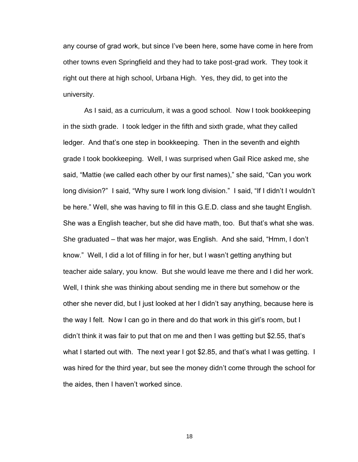any course of grad work, but since I"ve been here, some have come in here from other towns even Springfield and they had to take post-grad work. They took it right out there at high school, Urbana High. Yes, they did, to get into the university.

As I said, as a curriculum, it was a good school. Now I took bookkeeping in the sixth grade. I took ledger in the fifth and sixth grade, what they called ledger. And that"s one step in bookkeeping. Then in the seventh and eighth grade I took bookkeeping. Well, I was surprised when Gail Rice asked me, she said, "Mattie (we called each other by our first names)," she said, "Can you work long division?" I said, "Why sure I work long division." I said, "If I didn"t I wouldn"t be here." Well, she was having to fill in this G.E.D. class and she taught English. She was a English teacher, but she did have math, too. But that"s what she was. She graduated – that was her major, was English. And she said, "Hmm, I don"t know." Well, I did a lot of filling in for her, but I wasn"t getting anything but teacher aide salary, you know. But she would leave me there and I did her work. Well, I think she was thinking about sending me in there but somehow or the other she never did, but I just looked at her I didn"t say anything, because here is the way I felt. Now I can go in there and do that work in this girl"s room, but I didn"t think it was fair to put that on me and then I was getting but \$2.55, that"s what I started out with. The next year I got \$2.85, and that's what I was getting. I was hired for the third year, but see the money didn"t come through the school for the aides, then I haven"t worked since.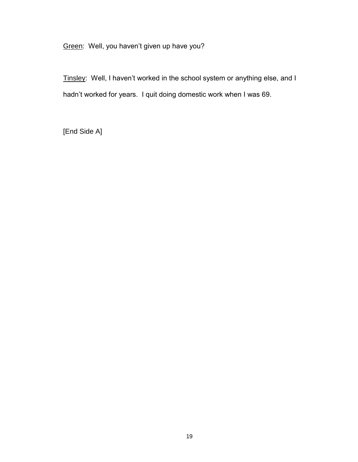Green: Well, you haven't given up have you?

Tinsley: Well, I haven't worked in the school system or anything else, and I hadn't worked for years. I quit doing domestic work when I was 69.

[End Side A]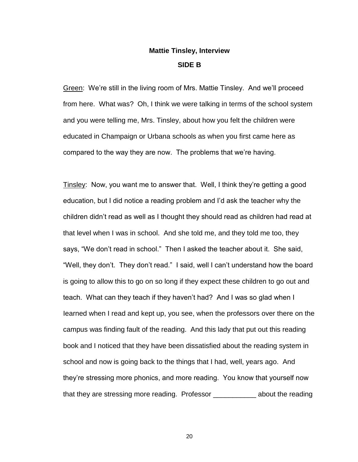## **Mattie Tinsley, Interview SIDE B**

Green: We"re still in the living room of Mrs. Mattie Tinsley. And we"ll proceed from here. What was? Oh, I think we were talking in terms of the school system and you were telling me, Mrs. Tinsley, about how you felt the children were educated in Champaign or Urbana schools as when you first came here as compared to the way they are now. The problems that we"re having.

Tinsley: Now, you want me to answer that. Well, I think they"re getting a good education, but I did notice a reading problem and I"d ask the teacher why the children didn"t read as well as I thought they should read as children had read at that level when I was in school. And she told me, and they told me too, they says, "We don"t read in school." Then I asked the teacher about it. She said, "Well, they don"t. They don"t read." I said, well I can"t understand how the board is going to allow this to go on so long if they expect these children to go out and teach. What can they teach if they haven"t had? And I was so glad when I Iearned when I read and kept up, you see, when the professors over there on the campus was finding fault of the reading. And this lady that put out this reading book and I noticed that they have been dissatisfied about the reading system in school and now is going back to the things that I had, well, years ago. And they"re stressing more phonics, and more reading. You know that yourself now that they are stressing more reading. Professor \_\_\_\_\_\_\_\_\_\_\_ about the reading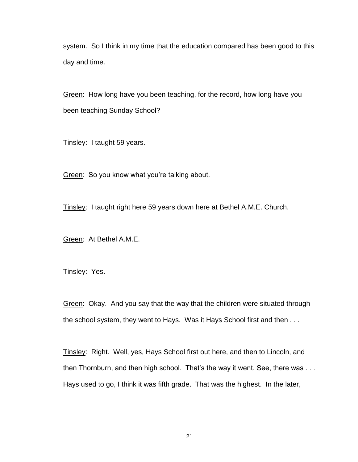system. So I think in my time that the education compared has been good to this day and time.

Green: How long have you been teaching, for the record, how long have you been teaching Sunday School?

Tinsley: I taught 59 years.

Green: So you know what you"re talking about.

Tinsley: I taught right here 59 years down here at Bethel A.M.E. Church.

Green: At Bethel A.M.E.

Tinsley: Yes.

Green: Okay. And you say that the way that the children were situated through the school system, they went to Hays. Was it Hays School first and then . . .

Tinsley: Right. Well, yes, Hays School first out here, and then to Lincoln, and then Thornburn, and then high school. That's the way it went. See, there was ... Hays used to go, I think it was fifth grade. That was the highest. In the later,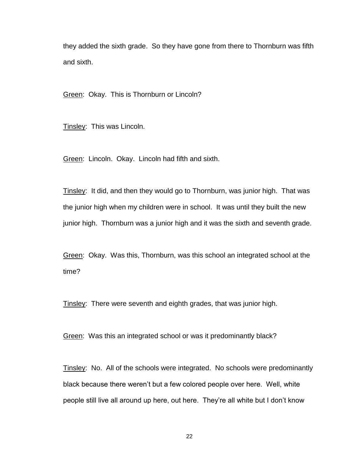they added the sixth grade. So they have gone from there to Thornburn was fifth and sixth.

Green: Okay. This is Thornburn or Lincoln?

Tinsley: This was Lincoln.

Green: Lincoln. Okay. Lincoln had fifth and sixth.

Tinsley: It did, and then they would go to Thornburn, was junior high. That was the junior high when my children were in school. It was until they built the new junior high. Thornburn was a junior high and it was the sixth and seventh grade.

Green: Okay. Was this, Thornburn, was this school an integrated school at the time?

Tinsley: There were seventh and eighth grades, that was junior high.

Green: Was this an integrated school or was it predominantly black?

Tinsley: No. All of the schools were integrated. No schools were predominantly black because there weren"t but a few colored people over here. Well, white people still live all around up here, out here. They"re all white but I don"t know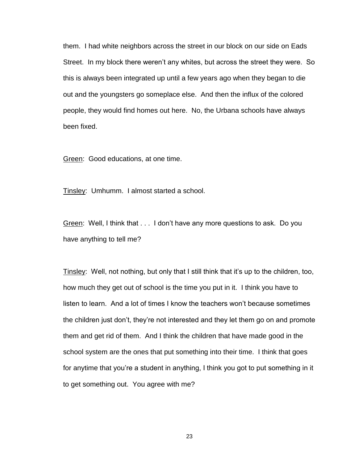them. I had white neighbors across the street in our block on our side on Eads Street. In my block there weren't any whites, but across the street they were. So this is always been integrated up until a few years ago when they began to die out and the youngsters go someplace else. And then the influx of the colored people, they would find homes out here. No, the Urbana schools have always been fixed.

Green: Good educations, at one time.

Tinsley: Umhumm. I almost started a school.

Green: Well, I think that . . . I don"t have any more questions to ask. Do you have anything to tell me?

Tinsley: Well, not nothing, but only that I still think that it's up to the children, too, how much they get out of school is the time you put in it. I think you have to listen to learn. And a lot of times I know the teachers won"t because sometimes the children just don"t, they"re not interested and they let them go on and promote them and get rid of them. And I think the children that have made good in the school system are the ones that put something into their time. I think that goes for anytime that you"re a student in anything, I think you got to put something in it to get something out. You agree with me?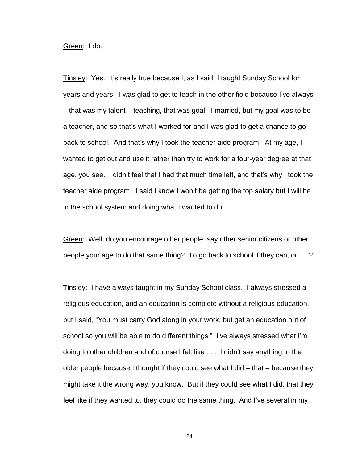Green: I do.

Tinsley: Yes. It"s really true because I, as I said, I taught Sunday School for years and years. I was glad to get to teach in the other field because I"ve always – that was my talent – teaching, that was goal. I married, but my goal was to be a teacher, and so that"s what I worked for and I was glad to get a chance to go back to school. And that"s why I took the teacher aide program. At my age, I wanted to get out and use it rather than try to work for a four-year degree at that age, you see. I didn"t feel that I had that much time left, and that"s why I took the teacher aide program. I said I know I won"t be getting the top salary but I will be in the school system and doing what I wanted to do.

Green: Well, do you encourage other people, say other senior citizens or other people your age to do that same thing? To go back to school if they can, or . . .?

Tinsley: I have always taught in my Sunday School class. I always stressed a religious education, and an education is complete without a religious education, but I said, "You must carry God along in your work, but get an education out of school so you will be able to do different things." I've always stressed what I'm doing to other children and of course I felt like . . . I didn"t say anything to the older people because I thought if they could see what I did – that – because they might take it the wrong way, you know. But if they could see what I did, that they feel like if they wanted to, they could do the same thing. And I"ve several in my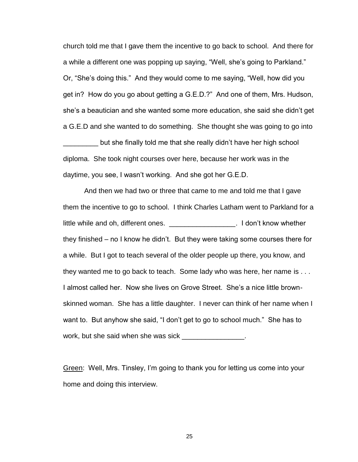church told me that I gave them the incentive to go back to school. And there for a while a different one was popping up saying, "Well, she"s going to Parkland." Or, "She"s doing this." And they would come to me saying, "Well, how did you get in? How do you go about getting a G.E.D.?" And one of them, Mrs. Hudson, she"s a beautician and she wanted some more education, she said she didn"t get a G.E.D and she wanted to do something. She thought she was going to go into

but she finally told me that she really didn't have her high school diploma. She took night courses over here, because her work was in the daytime, you see, I wasn"t working. And she got her G.E.D.

And then we had two or three that came to me and told me that I gave them the incentive to go to school. I think Charles Latham went to Parkland for a little while and oh, different ones. \_\_\_\_\_\_\_\_\_\_\_\_\_\_\_\_\_\_\_\_. I don't know whether they finished – no I know he didn"t. But they were taking some courses there for a while. But I got to teach several of the older people up there, you know, and they wanted me to go back to teach. Some lady who was here, her name is . . . I almost called her. Now she lives on Grove Street. She"s a nice little brownskinned woman. She has a little daughter. I never can think of her name when I want to. But anyhow she said, "I don"t get to go to school much." She has to work, but she said when she was sick \_\_\_\_\_\_\_\_\_\_\_\_\_\_\_\_.

Green: Well, Mrs. Tinsley, I"m going to thank you for letting us come into your home and doing this interview.